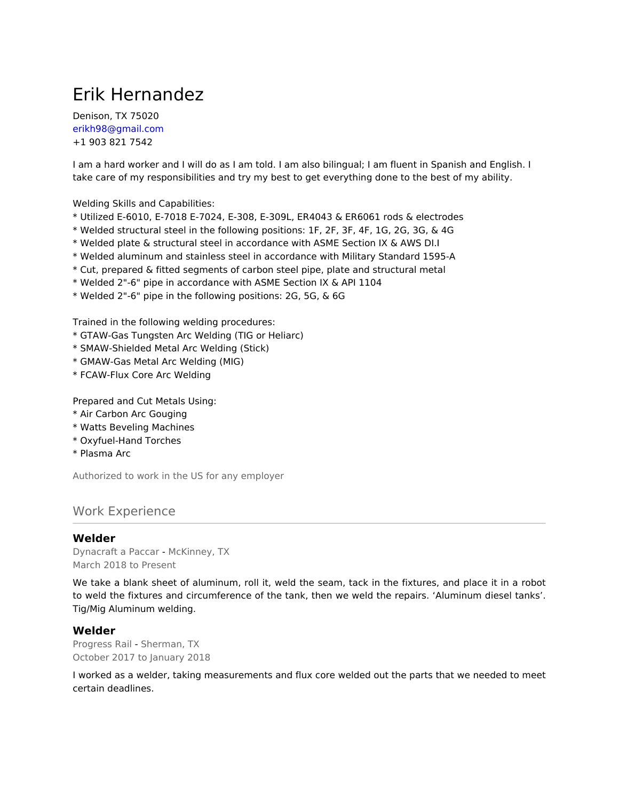# Erik Hernandez

Denison, TX 75020 erikh98@gmail.com +1 903 821 7542

I am a hard worker and I will do as I am told. I am also bilingual; I am fluent in Spanish and English. I take care of my responsibilities and try my best to get everything done to the best of my ability.

Welding Skills and Capabilities:

- \* Utilized E-6010, E-7018 E-7024, E-308, E-309L, ER4043 & ER6061 rods & electrodes
- \* Welded structural steel in the following positions: 1F, 2F, 3F, 4F, 1G, 2G, 3G, & 4G
- \* Welded plate & structural steel in accordance with ASME Section IX & AWS DI.I
- \* Welded aluminum and stainless steel in accordance with Military Standard 1595-A
- \* Cut, prepared & fitted segments of carbon steel pipe, plate and structural metal
- \* Welded 2"-6" pipe in accordance with ASME Section IX & API 1104
- \* Welded 2"-6" pipe in the following positions: 2G, 5G, & 6G

Trained in the following welding procedures:

- \* GTAW-Gas Tungsten Arc Welding (TIG or Heliarc)
- \* SMAW-Shielded Metal Arc Welding (Stick)
- \* GMAW-Gas Metal Arc Welding (MIG)
- \* FCAW-Flux Core Arc Welding

Prepared and Cut Metals Using:

- \* Air Carbon Arc Gouging
- \* Watts Beveling Machines
- \* Oxyfuel-Hand Torches
- \* Plasma Arc

Authorized to work in the US for any employer

## Work Experience

#### **Welder**

Dynacraft a Paccar - McKinney, TX March 2018 to Present

We take a blank sheet of aluminum, roll it, weld the seam, tack in the fixtures, and place it in a robot to weld the fixtures and circumference of the tank, then we weld the repairs. 'Aluminum diesel tanks'. Tig/Mig Aluminum welding.

#### **Welder**

Progress Rail - Sherman, TX October 2017 to January 2018

I worked as a welder, taking measurements and flux core welded out the parts that we needed to meet certain deadlines.